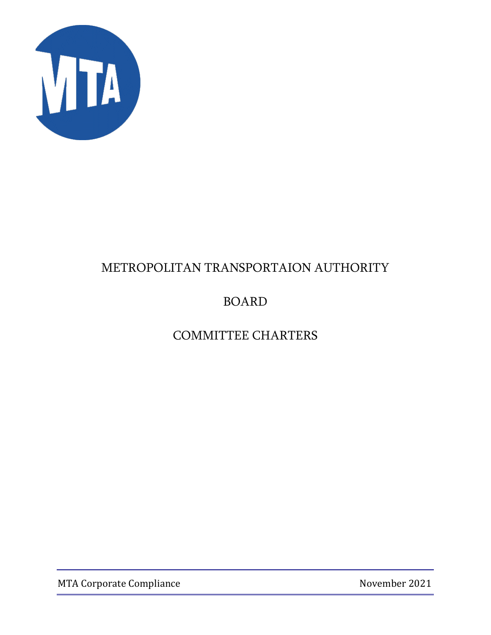

# BOARD

# COMMITTEE CHARTERS

MTA Corporate Compliance November 2021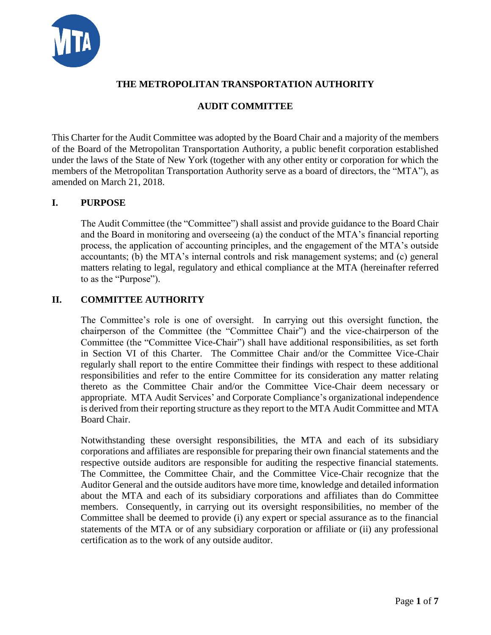

# **AUDIT COMMITTEE**

This Charter for the Audit Committee was adopted by the Board Chair and a majority of the members of the Board of the Metropolitan Transportation Authority, a public benefit corporation established under the laws of the State of New York (together with any other entity or corporation for which the members of the Metropolitan Transportation Authority serve as a board of directors, the "MTA"), as amended on March 21, 2018.

## **I. PURPOSE**

The Audit Committee (the "Committee") shall assist and provide guidance to the Board Chair and the Board in monitoring and overseeing (a) the conduct of the MTA's financial reporting process, the application of accounting principles, and the engagement of the MTA's outside accountants; (b) the MTA's internal controls and risk management systems; and (c) general matters relating to legal, regulatory and ethical compliance at the MTA (hereinafter referred to as the "Purpose").

#### **II. COMMITTEE AUTHORITY**

The Committee's role is one of oversight. In carrying out this oversight function, the chairperson of the Committee (the "Committee Chair") and the vice-chairperson of the Committee (the "Committee Vice-Chair") shall have additional responsibilities, as set forth in Section VI of this Charter. The Committee Chair and/or the Committee Vice-Chair regularly shall report to the entire Committee their findings with respect to these additional responsibilities and refer to the entire Committee for its consideration any matter relating thereto as the Committee Chair and/or the Committee Vice-Chair deem necessary or appropriate. MTA Audit Services' and Corporate Compliance's organizational independence is derived from their reporting structure as they report to the MTA Audit Committee and MTA Board Chair.

Notwithstanding these oversight responsibilities, the MTA and each of its subsidiary corporations and affiliates are responsible for preparing their own financial statements and the respective outside auditors are responsible for auditing the respective financial statements. The Committee, the Committee Chair, and the Committee Vice-Chair recognize that the Auditor General and the outside auditors have more time, knowledge and detailed information about the MTA and each of its subsidiary corporations and affiliates than do Committee members. Consequently, in carrying out its oversight responsibilities, no member of the Committee shall be deemed to provide (i) any expert or special assurance as to the financial statements of the MTA or of any subsidiary corporation or affiliate or (ii) any professional certification as to the work of any outside auditor.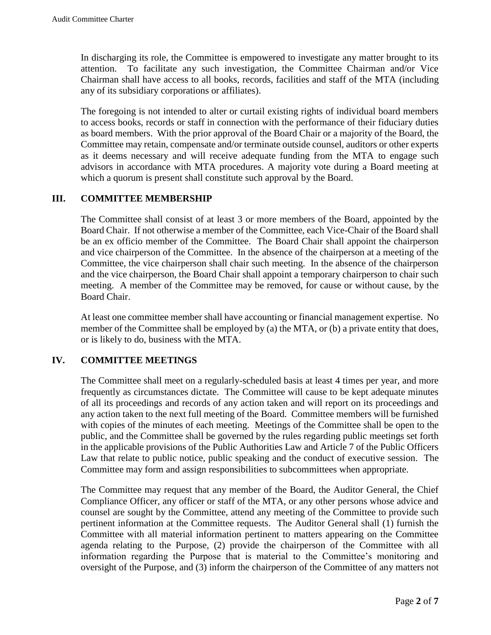In discharging its role, the Committee is empowered to investigate any matter brought to its attention. To facilitate any such investigation, the Committee Chairman and/or Vice Chairman shall have access to all books, records, facilities and staff of the MTA (including any of its subsidiary corporations or affiliates).

The foregoing is not intended to alter or curtail existing rights of individual board members to access books, records or staff in connection with the performance of their fiduciary duties as board members. With the prior approval of the Board Chair or a majority of the Board, the Committee may retain, compensate and/or terminate outside counsel, auditors or other experts as it deems necessary and will receive adequate funding from the MTA to engage such advisors in accordance with MTA procedures. A majority vote during a Board meeting at which a quorum is present shall constitute such approval by the Board.

## **III. COMMITTEE MEMBERSHIP**

The Committee shall consist of at least 3 or more members of the Board, appointed by the Board Chair. If not otherwise a member of the Committee, each Vice-Chair of the Board shall be an ex officio member of the Committee. The Board Chair shall appoint the chairperson and vice chairperson of the Committee. In the absence of the chairperson at a meeting of the Committee, the vice chairperson shall chair such meeting. In the absence of the chairperson and the vice chairperson, the Board Chair shall appoint a temporary chairperson to chair such meeting. A member of the Committee may be removed, for cause or without cause, by the Board Chair.

At least one committee member shall have accounting or financial management expertise. No member of the Committee shall be employed by (a) the MTA, or (b) a private entity that does, or is likely to do, business with the MTA.

#### **IV. COMMITTEE MEETINGS**

The Committee shall meet on a regularly-scheduled basis at least 4 times per year, and more frequently as circumstances dictate. The Committee will cause to be kept adequate minutes of all its proceedings and records of any action taken and will report on its proceedings and any action taken to the next full meeting of the Board. Committee members will be furnished with copies of the minutes of each meeting. Meetings of the Committee shall be open to the public, and the Committee shall be governed by the rules regarding public meetings set forth in the applicable provisions of the Public Authorities Law and Article 7 of the Public Officers Law that relate to public notice, public speaking and the conduct of executive session. The Committee may form and assign responsibilities to subcommittees when appropriate.

The Committee may request that any member of the Board, the Auditor General, the Chief Compliance Officer, any officer or staff of the MTA, or any other persons whose advice and counsel are sought by the Committee, attend any meeting of the Committee to provide such pertinent information at the Committee requests. The Auditor General shall (1) furnish the Committee with all material information pertinent to matters appearing on the Committee agenda relating to the Purpose, (2) provide the chairperson of the Committee with all information regarding the Purpose that is material to the Committee's monitoring and oversight of the Purpose, and (3) inform the chairperson of the Committee of any matters not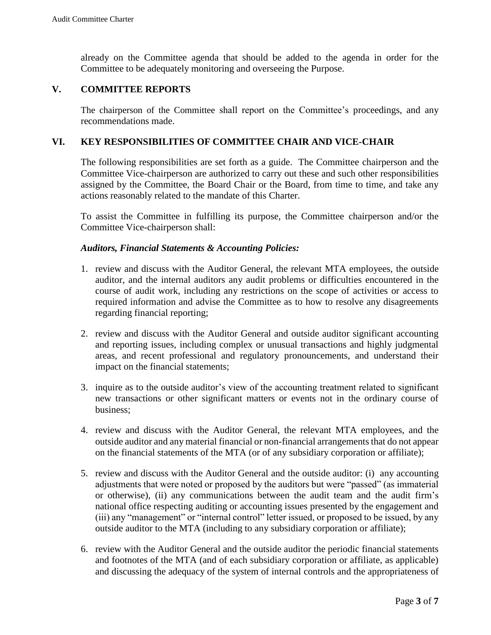already on the Committee agenda that should be added to the agenda in order for the Committee to be adequately monitoring and overseeing the Purpose.

#### **V. COMMITTEE REPORTS**

The chairperson of the Committee shall report on the Committee's proceedings, and any recommendations made.

#### **VI. KEY RESPONSIBILITIES OF COMMITTEE CHAIR AND VICE-CHAIR**

The following responsibilities are set forth as a guide. The Committee chairperson and the Committee Vice-chairperson are authorized to carry out these and such other responsibilities assigned by the Committee, the Board Chair or the Board, from time to time, and take any actions reasonably related to the mandate of this Charter.

To assist the Committee in fulfilling its purpose, the Committee chairperson and/or the Committee Vice-chairperson shall:

#### *Auditors, Financial Statements & Accounting Policies:*

- 1. review and discuss with the Auditor General, the relevant MTA employees, the outside auditor, and the internal auditors any audit problems or difficulties encountered in the course of audit work, including any restrictions on the scope of activities or access to required information and advise the Committee as to how to resolve any disagreements regarding financial reporting;
- 2. review and discuss with the Auditor General and outside auditor significant accounting and reporting issues, including complex or unusual transactions and highly judgmental areas, and recent professional and regulatory pronouncements, and understand their impact on the financial statements;
- 3. inquire as to the outside auditor's view of the accounting treatment related to significant new transactions or other significant matters or events not in the ordinary course of business;
- 4. review and discuss with the Auditor General, the relevant MTA employees, and the outside auditor and any material financial or non-financial arrangements that do not appear on the financial statements of the MTA (or of any subsidiary corporation or affiliate);
- 5. review and discuss with the Auditor General and the outside auditor: (i) any accounting adjustments that were noted or proposed by the auditors but were "passed" (as immaterial or otherwise), (ii) any communications between the audit team and the audit firm's national office respecting auditing or accounting issues presented by the engagement and (iii) any "management" or "internal control" letter issued, or proposed to be issued, by any outside auditor to the MTA (including to any subsidiary corporation or affiliate);
- 6. review with the Auditor General and the outside auditor the periodic financial statements and footnotes of the MTA (and of each subsidiary corporation or affiliate, as applicable) and discussing the adequacy of the system of internal controls and the appropriateness of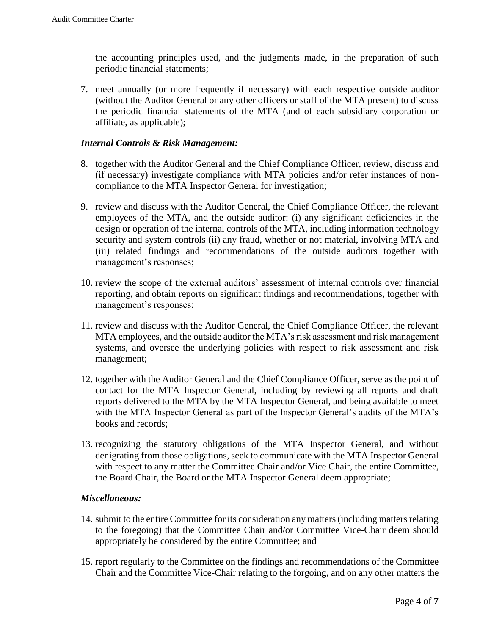the accounting principles used, and the judgments made, in the preparation of such periodic financial statements;

7. meet annually (or more frequently if necessary) with each respective outside auditor (without the Auditor General or any other officers or staff of the MTA present) to discuss the periodic financial statements of the MTA (and of each subsidiary corporation or affiliate, as applicable);

#### *Internal Controls & Risk Management:*

- 8. together with the Auditor General and the Chief Compliance Officer, review, discuss and (if necessary) investigate compliance with MTA policies and/or refer instances of noncompliance to the MTA Inspector General for investigation;
- 9. review and discuss with the Auditor General, the Chief Compliance Officer, the relevant employees of the MTA, and the outside auditor: (i) any significant deficiencies in the design or operation of the internal controls of the MTA, including information technology security and system controls (ii) any fraud, whether or not material, involving MTA and (iii) related findings and recommendations of the outside auditors together with management's responses;
- 10. review the scope of the external auditors' assessment of internal controls over financial reporting, and obtain reports on significant findings and recommendations, together with management's responses;
- 11. review and discuss with the Auditor General, the Chief Compliance Officer, the relevant MTA employees, and the outside auditor the MTA's risk assessment and risk management systems, and oversee the underlying policies with respect to risk assessment and risk management;
- 12. together with the Auditor General and the Chief Compliance Officer, serve as the point of contact for the MTA Inspector General, including by reviewing all reports and draft reports delivered to the MTA by the MTA Inspector General, and being available to meet with the MTA Inspector General as part of the Inspector General's audits of the MTA's books and records;
- 13. recognizing the statutory obligations of the MTA Inspector General, and without denigrating from those obligations, seek to communicate with the MTA Inspector General with respect to any matter the Committee Chair and/or Vice Chair, the entire Committee, the Board Chair, the Board or the MTA Inspector General deem appropriate;

#### *Miscellaneous:*

- 14. submit to the entire Committee for its consideration any matters (including matters relating to the foregoing) that the Committee Chair and/or Committee Vice-Chair deem should appropriately be considered by the entire Committee; and
- 15. report regularly to the Committee on the findings and recommendations of the Committee Chair and the Committee Vice-Chair relating to the forgoing, and on any other matters the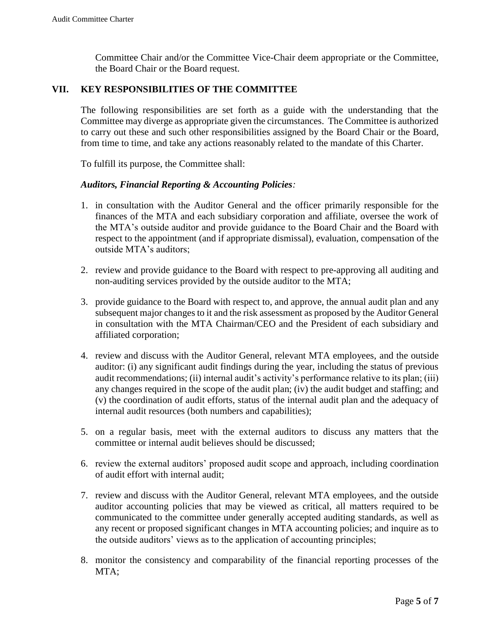Committee Chair and/or the Committee Vice-Chair deem appropriate or the Committee, the Board Chair or the Board request.

#### **VII. KEY RESPONSIBILITIES OF THE COMMITTEE**

The following responsibilities are set forth as a guide with the understanding that the Committee may diverge as appropriate given the circumstances. The Committee is authorized to carry out these and such other responsibilities assigned by the Board Chair or the Board, from time to time, and take any actions reasonably related to the mandate of this Charter.

To fulfill its purpose, the Committee shall:

#### *Auditors, Financial Reporting & Accounting Policies:*

- 1. in consultation with the Auditor General and the officer primarily responsible for the finances of the MTA and each subsidiary corporation and affiliate, oversee the work of the MTA's outside auditor and provide guidance to the Board Chair and the Board with respect to the appointment (and if appropriate dismissal), evaluation, compensation of the outside MTA's auditors;
- 2. review and provide guidance to the Board with respect to pre-approving all auditing and non-auditing services provided by the outside auditor to the MTA;
- 3. provide guidance to the Board with respect to, and approve, the annual audit plan and any subsequent major changes to it and the risk assessment as proposed by the Auditor General in consultation with the MTA Chairman/CEO and the President of each subsidiary and affiliated corporation;
- 4. review and discuss with the Auditor General, relevant MTA employees, and the outside auditor: (i) any significant audit findings during the year, including the status of previous audit recommendations; (ii) internal audit's activity's performance relative to its plan; (iii) any changes required in the scope of the audit plan; (iv) the audit budget and staffing; and (v) the coordination of audit efforts, status of the internal audit plan and the adequacy of internal audit resources (both numbers and capabilities);
- 5. on a regular basis, meet with the external auditors to discuss any matters that the committee or internal audit believes should be discussed;
- 6. review the external auditors' proposed audit scope and approach, including coordination of audit effort with internal audit;
- 7. review and discuss with the Auditor General, relevant MTA employees, and the outside auditor accounting policies that may be viewed as critical, all matters required to be communicated to the committee under generally accepted auditing standards, as well as any recent or proposed significant changes in MTA accounting policies; and inquire as to the outside auditors' views as to the application of accounting principles;
- 8. monitor the consistency and comparability of the financial reporting processes of the MTA;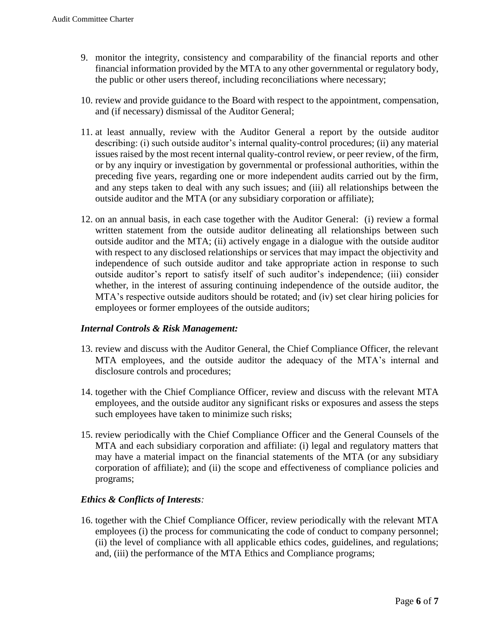- 9. monitor the integrity, consistency and comparability of the financial reports and other financial information provided by the MTA to any other governmental or regulatory body, the public or other users thereof, including reconciliations where necessary;
- 10. review and provide guidance to the Board with respect to the appointment, compensation, and (if necessary) dismissal of the Auditor General;
- 11. at least annually, review with the Auditor General a report by the outside auditor describing: (i) such outside auditor's internal quality-control procedures; (ii) any material issues raised by the most recent internal quality-control review, or peer review, of the firm, or by any inquiry or investigation by governmental or professional authorities, within the preceding five years, regarding one or more independent audits carried out by the firm, and any steps taken to deal with any such issues; and (iii) all relationships between the outside auditor and the MTA (or any subsidiary corporation or affiliate);
- 12. on an annual basis, in each case together with the Auditor General: (i) review a formal written statement from the outside auditor delineating all relationships between such outside auditor and the MTA; (ii) actively engage in a dialogue with the outside auditor with respect to any disclosed relationships or services that may impact the objectivity and independence of such outside auditor and take appropriate action in response to such outside auditor's report to satisfy itself of such auditor's independence; (iii) consider whether, in the interest of assuring continuing independence of the outside auditor, the MTA's respective outside auditors should be rotated; and (iv) set clear hiring policies for employees or former employees of the outside auditors;

#### *Internal Controls & Risk Management:*

- 13. review and discuss with the Auditor General, the Chief Compliance Officer, the relevant MTA employees, and the outside auditor the adequacy of the MTA's internal and disclosure controls and procedures;
- 14. together with the Chief Compliance Officer, review and discuss with the relevant MTA employees, and the outside auditor any significant risks or exposures and assess the steps such employees have taken to minimize such risks;
- 15. review periodically with the Chief Compliance Officer and the General Counsels of the MTA and each subsidiary corporation and affiliate: (i) legal and regulatory matters that may have a material impact on the financial statements of the MTA (or any subsidiary corporation of affiliate); and (ii) the scope and effectiveness of compliance policies and programs;

#### *Ethics & Conflicts of Interests:*

16. together with the Chief Compliance Officer, review periodically with the relevant MTA employees (i) the process for communicating the code of conduct to company personnel; (ii) the level of compliance with all applicable ethics codes, guidelines, and regulations; and, (iii) the performance of the MTA Ethics and Compliance programs;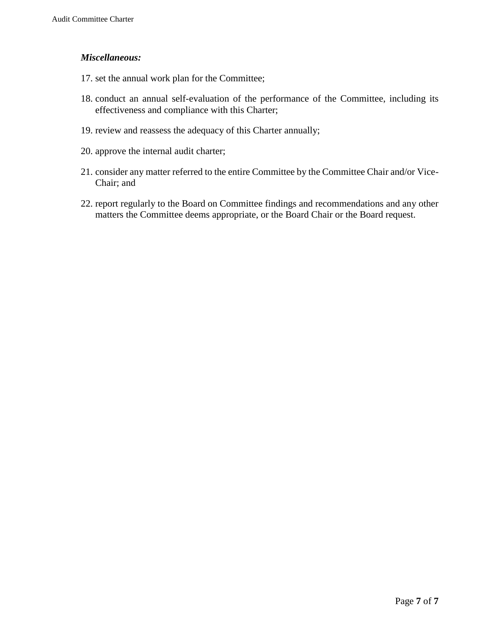#### *Miscellaneous:*

- 17. set the annual work plan for the Committee;
- 18. conduct an annual self-evaluation of the performance of the Committee, including its effectiveness and compliance with this Charter;
- 19. review and reassess the adequacy of this Charter annually;
- 20. approve the internal audit charter;
- 21. consider any matter referred to the entire Committee by the Committee Chair and/or Vice-Chair; and
- 22. report regularly to the Board on Committee findings and recommendations and any other matters the Committee deems appropriate, or the Board Chair or the Board request.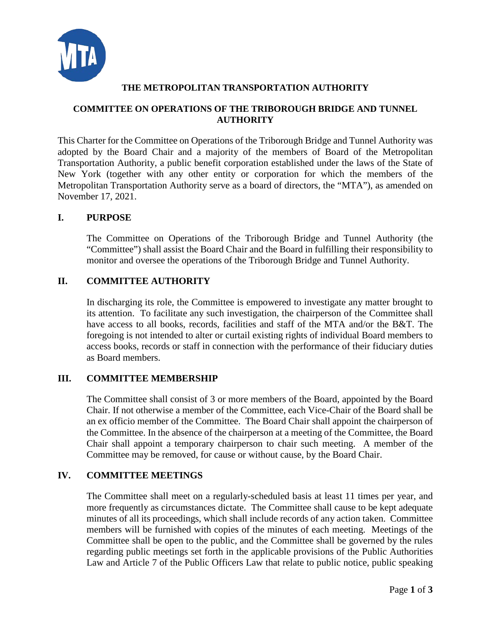

#### **COMMITTEE ON OPERATIONS OF THE TRIBOROUGH BRIDGE AND TUNNEL AUTHORITY**

This Charter for the Committee on Operations of the Triborough Bridge and Tunnel Authority was adopted by the Board Chair and a majority of the members of Board of the Metropolitan Transportation Authority, a public benefit corporation established under the laws of the State of New York (together with any other entity or corporation for which the members of the Metropolitan Transportation Authority serve as a board of directors, the "MTA"), as amended on November 17, 2021.

#### **I. PURPOSE**

The Committee on Operations of the Triborough Bridge and Tunnel Authority (the "Committee") shall assist the Board Chair and the Board in fulfilling their responsibility to monitor and oversee the operations of the Triborough Bridge and Tunnel Authority.

#### **II. COMMITTEE AUTHORITY**

In discharging its role, the Committee is empowered to investigate any matter brought to its attention. To facilitate any such investigation, the chairperson of the Committee shall have access to all books, records, facilities and staff of the MTA and/or the B&T. The foregoing is not intended to alter or curtail existing rights of individual Board members to access books, records or staff in connection with the performance of their fiduciary duties as Board members.

#### **III. COMMITTEE MEMBERSHIP**

The Committee shall consist of 3 or more members of the Board, appointed by the Board Chair. If not otherwise a member of the Committee, each Vice-Chair of the Board shall be an ex officio member of the Committee. The Board Chair shall appoint the chairperson of the Committee. In the absence of the chairperson at a meeting of the Committee, the Board Chair shall appoint a temporary chairperson to chair such meeting. A member of the Committee may be removed, for cause or without cause, by the Board Chair.

## **IV. COMMITTEE MEETINGS**

The Committee shall meet on a regularly-scheduled basis at least 11 times per year, and more frequently as circumstances dictate. The Committee shall cause to be kept adequate minutes of all its proceedings, which shall include records of any action taken. Committee members will be furnished with copies of the minutes of each meeting. Meetings of the Committee shall be open to the public, and the Committee shall be governed by the rules regarding public meetings set forth in the applicable provisions of the Public Authorities Law and Article 7 of the Public Officers Law that relate to public notice, public speaking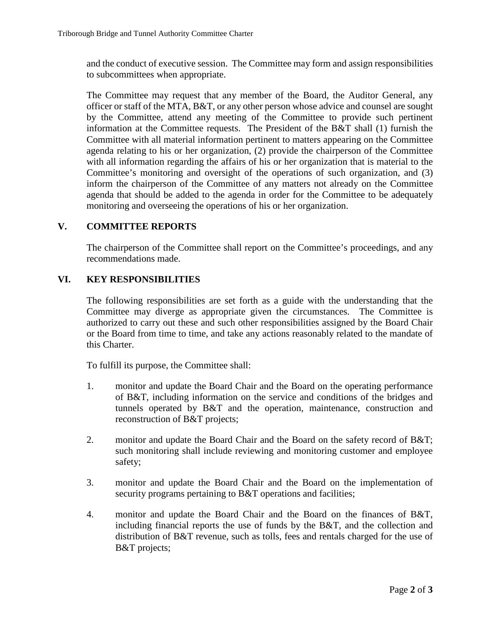and the conduct of executive session. The Committee may form and assign responsibilities to subcommittees when appropriate.

The Committee may request that any member of the Board, the Auditor General, any officer or staff of the MTA, B&T, or any other person whose advice and counsel are sought by the Committee, attend any meeting of the Committee to provide such pertinent information at the Committee requests. The President of the B&T shall (1) furnish the Committee with all material information pertinent to matters appearing on the Committee agenda relating to his or her organization, (2) provide the chairperson of the Committee with all information regarding the affairs of his or her organization that is material to the Committee's monitoring and oversight of the operations of such organization, and (3) inform the chairperson of the Committee of any matters not already on the Committee agenda that should be added to the agenda in order for the Committee to be adequately monitoring and overseeing the operations of his or her organization.

## **V. COMMITTEE REPORTS**

The chairperson of the Committee shall report on the Committee's proceedings, and any recommendations made.

#### **VI. KEY RESPONSIBILITIES**

The following responsibilities are set forth as a guide with the understanding that the Committee may diverge as appropriate given the circumstances. The Committee is authorized to carry out these and such other responsibilities assigned by the Board Chair or the Board from time to time, and take any actions reasonably related to the mandate of this Charter.

To fulfill its purpose, the Committee shall:

- 1. monitor and update the Board Chair and the Board on the operating performance of B&T, including information on the service and conditions of the bridges and tunnels operated by B&T and the operation, maintenance, construction and reconstruction of B&T projects;
- 2. monitor and update the Board Chair and the Board on the safety record of B&T; such monitoring shall include reviewing and monitoring customer and employee safety;
- 3. monitor and update the Board Chair and the Board on the implementation of security programs pertaining to B&T operations and facilities;
- 4. monitor and update the Board Chair and the Board on the finances of B&T, including financial reports the use of funds by the B&T, and the collection and distribution of B&T revenue, such as tolls, fees and rentals charged for the use of B&T projects;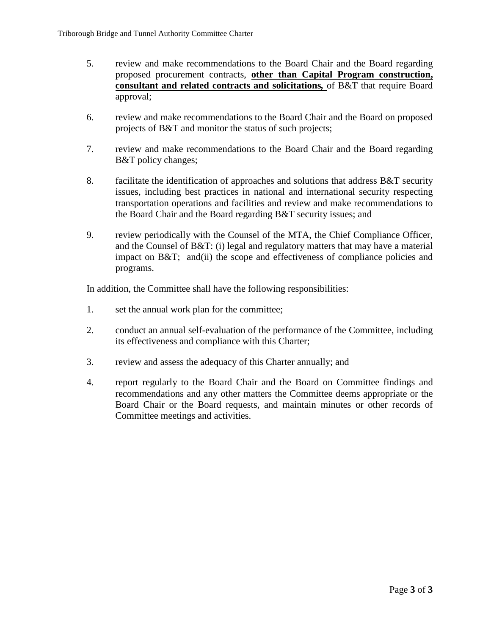- 5. review and make recommendations to the Board Chair and the Board regarding proposed procurement contracts, **other than Capital Program construction, consultant and related contracts and solicitations***,* of B&T that require Board approval;
- 6. review and make recommendations to the Board Chair and the Board on proposed projects of B&T and monitor the status of such projects;
- 7. review and make recommendations to the Board Chair and the Board regarding B&T policy changes;
- 8. facilitate the identification of approaches and solutions that address B&T security issues, including best practices in national and international security respecting transportation operations and facilities and review and make recommendations to the Board Chair and the Board regarding B&T security issues; and
- 9. review periodically with the Counsel of the MTA, the Chief Compliance Officer, and the Counsel of B&T: (i) legal and regulatory matters that may have a material impact on B&T; and(ii) the scope and effectiveness of compliance policies and programs.

- 1. set the annual work plan for the committee;
- 2. conduct an annual self-evaluation of the performance of the Committee, including its effectiveness and compliance with this Charter;
- 3. review and assess the adequacy of this Charter annually; and
- 4. report regularly to the Board Chair and the Board on Committee findings and recommendations and any other matters the Committee deems appropriate or the Board Chair or the Board requests, and maintain minutes or other records of Committee meetings and activities.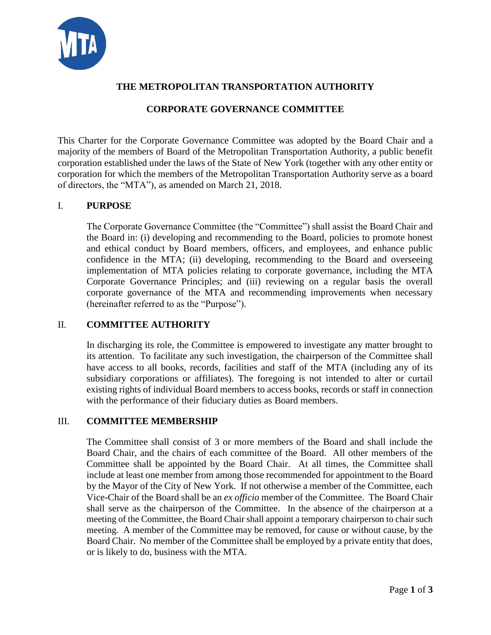# **CORPORATE GOVERNANCE COMMITTEE**

This Charter for the Corporate Governance Committee was adopted by the Board Chair and a majority of the members of Board of the Metropolitan Transportation Authority, a public benefit corporation established under the laws of the State of New York (together with any other entity or corporation for which the members of the Metropolitan Transportation Authority serve as a board of directors, the "MTA"), as amended on March 21, 2018.

## I. **PURPOSE**

The Corporate Governance Committee (the "Committee") shall assist the Board Chair and the Board in: (i) developing and recommending to the Board, policies to promote honest and ethical conduct by Board members, officers, and employees, and enhance public confidence in the MTA; (ii) developing, recommending to the Board and overseeing implementation of MTA policies relating to corporate governance, including the MTA Corporate Governance Principles; and (iii) reviewing on a regular basis the overall corporate governance of the MTA and recommending improvements when necessary (hereinafter referred to as the "Purpose").

## II. **COMMITTEE AUTHORITY**

In discharging its role, the Committee is empowered to investigate any matter brought to its attention. To facilitate any such investigation, the chairperson of the Committee shall have access to all books, records, facilities and staff of the MTA (including any of its subsidiary corporations or affiliates). The foregoing is not intended to alter or curtail existing rights of individual Board members to access books, records or staff in connection with the performance of their fiduciary duties as Board members.

## III. **COMMITTEE MEMBERSHIP**

The Committee shall consist of 3 or more members of the Board and shall include the Board Chair, and the chairs of each committee of the Board. All other members of the Committee shall be appointed by the Board Chair. At all times, the Committee shall include at least one member from among those recommended for appointment to the Board by the Mayor of the City of New York. If not otherwise a member of the Committee, each Vice-Chair of the Board shall be an *ex officio* member of the Committee. The Board Chair shall serve as the chairperson of the Committee. In the absence of the chairperson at a meeting of the Committee, the Board Chair shall appoint a temporary chairperson to chair such meeting. A member of the Committee may be removed, for cause or without cause, by the Board Chair. No member of the Committee shall be employed by a private entity that does, or is likely to do, business with the MTA.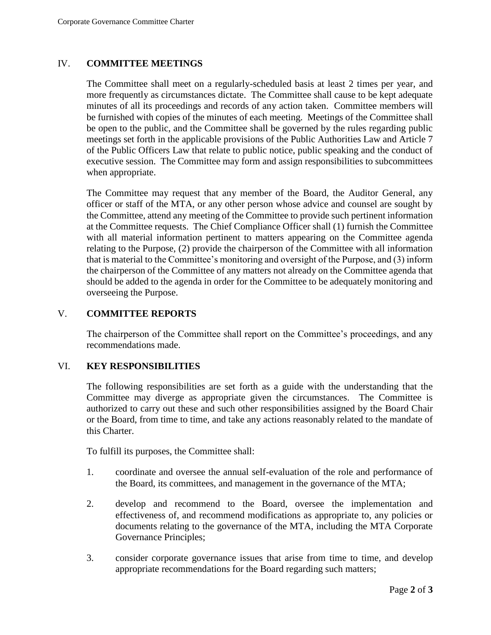#### IV. **COMMITTEE MEETINGS**

The Committee shall meet on a regularly-scheduled basis at least 2 times per year, and more frequently as circumstances dictate. The Committee shall cause to be kept adequate minutes of all its proceedings and records of any action taken. Committee members will be furnished with copies of the minutes of each meeting. Meetings of the Committee shall be open to the public, and the Committee shall be governed by the rules regarding public meetings set forth in the applicable provisions of the Public Authorities Law and Article 7 of the Public Officers Law that relate to public notice, public speaking and the conduct of executive session. The Committee may form and assign responsibilities to subcommittees when appropriate.

The Committee may request that any member of the Board, the Auditor General, any officer or staff of the MTA, or any other person whose advice and counsel are sought by the Committee, attend any meeting of the Committee to provide such pertinent information at the Committee requests. The Chief Compliance Officer shall (1) furnish the Committee with all material information pertinent to matters appearing on the Committee agenda relating to the Purpose, (2) provide the chairperson of the Committee with all information that is material to the Committee's monitoring and oversight of the Purpose, and (3) inform the chairperson of the Committee of any matters not already on the Committee agenda that should be added to the agenda in order for the Committee to be adequately monitoring and overseeing the Purpose.

#### V. **COMMITTEE REPORTS**

The chairperson of the Committee shall report on the Committee's proceedings, and any recommendations made.

#### VI. **KEY RESPONSIBILITIES**

The following responsibilities are set forth as a guide with the understanding that the Committee may diverge as appropriate given the circumstances. The Committee is authorized to carry out these and such other responsibilities assigned by the Board Chair or the Board, from time to time, and take any actions reasonably related to the mandate of this Charter.

To fulfill its purposes, the Committee shall:

- 1. coordinate and oversee the annual self-evaluation of the role and performance of the Board, its committees, and management in the governance of the MTA;
- 2. develop and recommend to the Board, oversee the implementation and effectiveness of, and recommend modifications as appropriate to, any policies or documents relating to the governance of the MTA, including the MTA Corporate Governance Principles;
- 3. consider corporate governance issues that arise from time to time, and develop appropriate recommendations for the Board regarding such matters;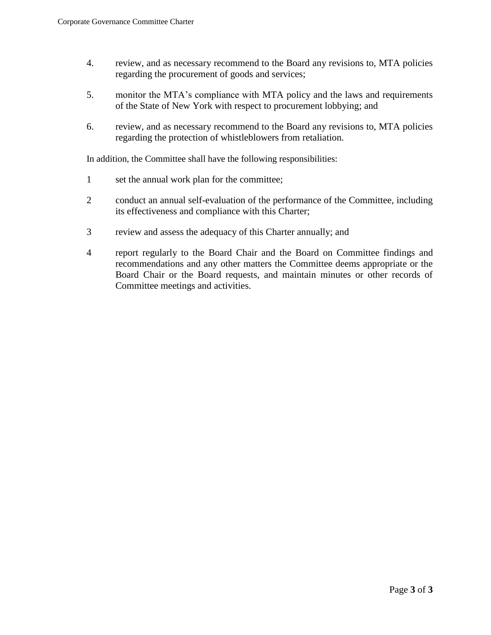- 4. review, and as necessary recommend to the Board any revisions to, MTA policies regarding the procurement of goods and services;
- 5. monitor the MTA's compliance with MTA policy and the laws and requirements of the State of New York with respect to procurement lobbying; and
- 6. review, and as necessary recommend to the Board any revisions to, MTA policies regarding the protection of whistleblowers from retaliation.

- 1 set the annual work plan for the committee;
- 2 conduct an annual self-evaluation of the performance of the Committee, including its effectiveness and compliance with this Charter;
- 3 review and assess the adequacy of this Charter annually; and
- 4 report regularly to the Board Chair and the Board on Committee findings and recommendations and any other matters the Committee deems appropriate or the Board Chair or the Board requests, and maintain minutes or other records of Committee meetings and activities.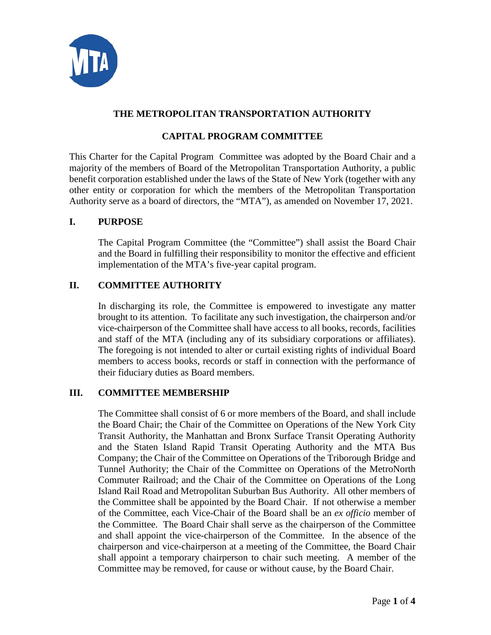

## **CAPITAL PROGRAM COMMITTEE**

This Charter for the Capital Program Committee was adopted by the Board Chair and a majority of the members of Board of the Metropolitan Transportation Authority, a public benefit corporation established under the laws of the State of New York (together with any other entity or corporation for which the members of the Metropolitan Transportation Authority serve as a board of directors, the "MTA"), as amended on November 17, 2021.

#### **I. PURPOSE**

The Capital Program Committee (the "Committee") shall assist the Board Chair and the Board in fulfilling their responsibility to monitor the effective and efficient implementation of the MTA's five-year capital program.

## **II. COMMITTEE AUTHORITY**

In discharging its role, the Committee is empowered to investigate any matter brought to its attention. To facilitate any such investigation, the chairperson and/or vice-chairperson of the Committee shall have access to all books, records, facilities and staff of the MTA (including any of its subsidiary corporations or affiliates). The foregoing is not intended to alter or curtail existing rights of individual Board members to access books, records or staff in connection with the performance of their fiduciary duties as Board members.

## **III. COMMITTEE MEMBERSHIP**

The Committee shall consist of 6 or more members of the Board, and shall include the Board Chair; the Chair of the Committee on Operations of the New York City Transit Authority, the Manhattan and Bronx Surface Transit Operating Authority and the Staten Island Rapid Transit Operating Authority and the MTA Bus Company; the Chair of the Committee on Operations of the Triborough Bridge and Tunnel Authority; the Chair of the Committee on Operations of the MetroNorth Commuter Railroad; and the Chair of the Committee on Operations of the Long Island Rail Road and Metropolitan Suburban Bus Authority. All other members of the Committee shall be appointed by the Board Chair. If not otherwise a member of the Committee, each Vice-Chair of the Board shall be an *ex officio* member of the Committee. The Board Chair shall serve as the chairperson of the Committee and shall appoint the vice-chairperson of the Committee. In the absence of the chairperson and vice-chairperson at a meeting of the Committee, the Board Chair shall appoint a temporary chairperson to chair such meeting. A member of the Committee may be removed, for cause or without cause, by the Board Chair.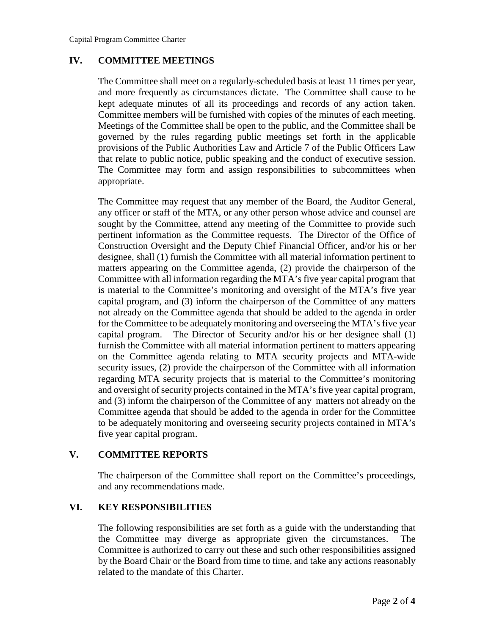#### **IV. COMMITTEE MEETINGS**

The Committee shall meet on a regularly-scheduled basis at least 11 times per year, and more frequently as circumstances dictate. The Committee shall cause to be kept adequate minutes of all its proceedings and records of any action taken. Committee members will be furnished with copies of the minutes of each meeting. Meetings of the Committee shall be open to the public, and the Committee shall be governed by the rules regarding public meetings set forth in the applicable provisions of the Public Authorities Law and Article 7 of the Public Officers Law that relate to public notice, public speaking and the conduct of executive session. The Committee may form and assign responsibilities to subcommittees when appropriate.

The Committee may request that any member of the Board, the Auditor General, any officer or staff of the MTA, or any other person whose advice and counsel are sought by the Committee, attend any meeting of the Committee to provide such pertinent information as the Committee requests. The Director of the Office of Construction Oversight and the Deputy Chief Financial Officer, and/or his or her designee, shall (1) furnish the Committee with all material information pertinent to matters appearing on the Committee agenda, (2) provide the chairperson of the Committee with all information regarding the MTA's five year capital program that is material to the Committee's monitoring and oversight of the MTA's five year capital program, and (3) inform the chairperson of the Committee of any matters not already on the Committee agenda that should be added to the agenda in order for the Committee to be adequately monitoring and overseeing the MTA's five year capital program. The Director of Security and/or his or her designee shall (1) furnish the Committee with all material information pertinent to matters appearing on the Committee agenda relating to MTA security projects and MTA-wide security issues, (2) provide the chairperson of the Committee with all information regarding MTA security projects that is material to the Committee's monitoring and oversight of security projects contained in the MTA's five year capital program, and (3) inform the chairperson of the Committee of any matters not already on the Committee agenda that should be added to the agenda in order for the Committee to be adequately monitoring and overseeing security projects contained in MTA's five year capital program.

## **V. COMMITTEE REPORTS**

The chairperson of the Committee shall report on the Committee's proceedings, and any recommendations made.

## **VI. KEY RESPONSIBILITIES**

The following responsibilities are set forth as a guide with the understanding that the Committee may diverge as appropriate given the circumstances. The Committee is authorized to carry out these and such other responsibilities assigned by the Board Chair or the Board from time to time, and take any actions reasonably related to the mandate of this Charter.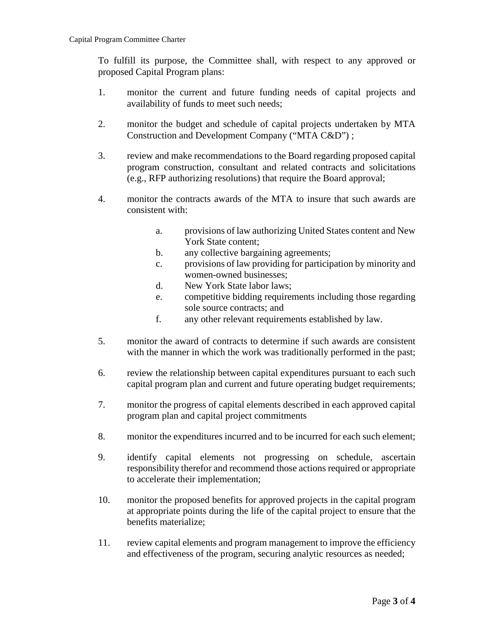To fulfill its purpose, the Committee shall, with respect to any approved or proposed Capital Program plans:

- 1. monitor the current and future funding needs of capital projects and availability of funds to meet such needs;
- 2. monitor the budget and schedule of capital projects undertaken by MTA Construction and Development Company ("MTA C&D") ;
- 3. review and make recommendations to the Board regarding proposed capital program construction, consultant and related contracts and solicitations (e.g., RFP authorizing resolutions) that require the Board approval;
- 4. monitor the contracts awards of the MTA to insure that such awards are consistent with:
	- a. provisions of law authorizing United States content and New York State content;
	- b. any collective bargaining agreements;
	- c. provisions of law providing for participation by minority and women-owned businesses;
	- d. New York State labor laws;
	- e. competitive bidding requirements including those regarding sole source contracts; and
	- f. any other relevant requirements established by law.
- 5. monitor the award of contracts to determine if such awards are consistent with the manner in which the work was traditionally performed in the past;
- 6. review the relationship between capital expenditures pursuant to each such capital program plan and current and future operating budget requirements;
- 7. monitor the progress of capital elements described in each approved capital program plan and capital project commitments
- 8. monitor the expenditures incurred and to be incurred for each such element;
- 9. identify capital elements not progressing on schedule, ascertain responsibility therefor and recommend those actions required or appropriate to accelerate their implementation;
- 10. monitor the proposed benefits for approved projects in the capital program at appropriate points during the life of the capital project to ensure that the benefits materialize;
- 11. review capital elements and program management to improve the efficiency and effectiveness of the program, securing analytic resources as needed;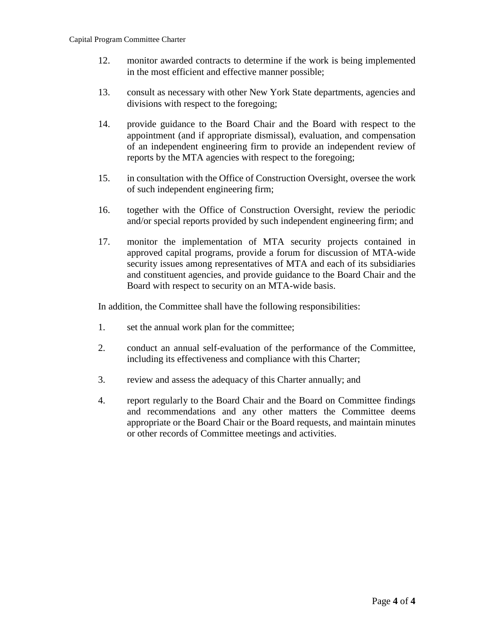- 12. monitor awarded contracts to determine if the work is being implemented in the most efficient and effective manner possible;
- 13. consult as necessary with other New York State departments, agencies and divisions with respect to the foregoing;
- 14. provide guidance to the Board Chair and the Board with respect to the appointment (and if appropriate dismissal), evaluation, and compensation of an independent engineering firm to provide an independent review of reports by the MTA agencies with respect to the foregoing;
- 15. in consultation with the Office of Construction Oversight, oversee the work of such independent engineering firm;
- 16. together with the Office of Construction Oversight, review the periodic and/or special reports provided by such independent engineering firm; and
- 17. monitor the implementation of MTA security projects contained in approved capital programs, provide a forum for discussion of MTA-wide security issues among representatives of MTA and each of its subsidiaries and constituent agencies, and provide guidance to the Board Chair and the Board with respect to security on an MTA-wide basis.

- 1. set the annual work plan for the committee;
- 2. conduct an annual self-evaluation of the performance of the Committee, including its effectiveness and compliance with this Charter;
- 3. review and assess the adequacy of this Charter annually; and
- 4. report regularly to the Board Chair and the Board on Committee findings and recommendations and any other matters the Committee deems appropriate or the Board Chair or the Board requests, and maintain minutes or other records of Committee meetings and activities.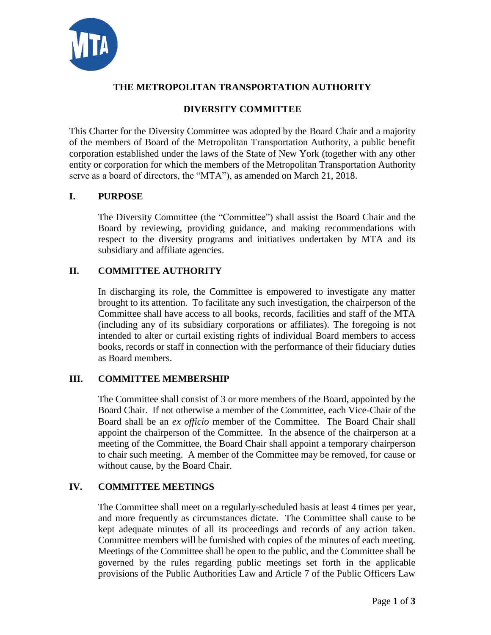

# **DIVERSITY COMMITTEE**

This Charter for the Diversity Committee was adopted by the Board Chair and a majority of the members of Board of the Metropolitan Transportation Authority, a public benefit corporation established under the laws of the State of New York (together with any other entity or corporation for which the members of the Metropolitan Transportation Authority serve as a board of directors, the "MTA"), as amended on March 21, 2018.

## **I. PURPOSE**

The Diversity Committee (the "Committee") shall assist the Board Chair and the Board by reviewing, providing guidance, and making recommendations with respect to the diversity programs and initiatives undertaken by MTA and its subsidiary and affiliate agencies.

#### **II. COMMITTEE AUTHORITY**

In discharging its role, the Committee is empowered to investigate any matter brought to its attention. To facilitate any such investigation, the chairperson of the Committee shall have access to all books, records, facilities and staff of the MTA (including any of its subsidiary corporations or affiliates). The foregoing is not intended to alter or curtail existing rights of individual Board members to access books, records or staff in connection with the performance of their fiduciary duties as Board members.

## **III. COMMITTEE MEMBERSHIP**

The Committee shall consist of 3 or more members of the Board, appointed by the Board Chair. If not otherwise a member of the Committee, each Vice-Chair of the Board shall be an *ex officio* member of the Committee. The Board Chair shall appoint the chairperson of the Committee. In the absence of the chairperson at a meeting of the Committee, the Board Chair shall appoint a temporary chairperson to chair such meeting. A member of the Committee may be removed, for cause or without cause, by the Board Chair.

## **IV. COMMITTEE MEETINGS**

The Committee shall meet on a regularly-scheduled basis at least 4 times per year, and more frequently as circumstances dictate. The Committee shall cause to be kept adequate minutes of all its proceedings and records of any action taken. Committee members will be furnished with copies of the minutes of each meeting. Meetings of the Committee shall be open to the public, and the Committee shall be governed by the rules regarding public meetings set forth in the applicable provisions of the Public Authorities Law and Article 7 of the Public Officers Law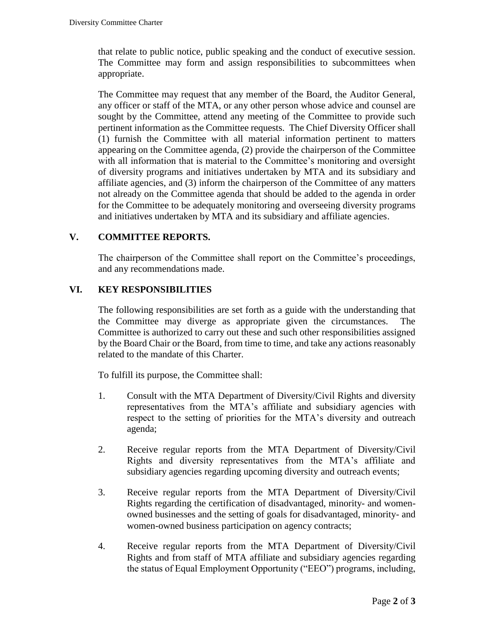that relate to public notice, public speaking and the conduct of executive session. The Committee may form and assign responsibilities to subcommittees when appropriate.

The Committee may request that any member of the Board, the Auditor General, any officer or staff of the MTA, or any other person whose advice and counsel are sought by the Committee, attend any meeting of the Committee to provide such pertinent information as the Committee requests. The Chief Diversity Officer shall (1) furnish the Committee with all material information pertinent to matters appearing on the Committee agenda, (2) provide the chairperson of the Committee with all information that is material to the Committee's monitoring and oversight of diversity programs and initiatives undertaken by MTA and its subsidiary and affiliate agencies, and (3) inform the chairperson of the Committee of any matters not already on the Committee agenda that should be added to the agenda in order for the Committee to be adequately monitoring and overseeing diversity programs and initiatives undertaken by MTA and its subsidiary and affiliate agencies.

## **V. COMMITTEE REPORTS.**

The chairperson of the Committee shall report on the Committee's proceedings, and any recommendations made.

## **VI. KEY RESPONSIBILITIES**

The following responsibilities are set forth as a guide with the understanding that the Committee may diverge as appropriate given the circumstances. The Committee is authorized to carry out these and such other responsibilities assigned by the Board Chair or the Board, from time to time, and take any actions reasonably related to the mandate of this Charter.

To fulfill its purpose, the Committee shall:

- 1. Consult with the MTA Department of Diversity/Civil Rights and diversity representatives from the MTA's affiliate and subsidiary agencies with respect to the setting of priorities for the MTA's diversity and outreach agenda;
- 2. Receive regular reports from the MTA Department of Diversity/Civil Rights and diversity representatives from the MTA's affiliate and subsidiary agencies regarding upcoming diversity and outreach events;
- 3. Receive regular reports from the MTA Department of Diversity/Civil Rights regarding the certification of disadvantaged, minority- and womenowned businesses and the setting of goals for disadvantaged, minority- and women-owned business participation on agency contracts;
- 4. Receive regular reports from the MTA Department of Diversity/Civil Rights and from staff of MTA affiliate and subsidiary agencies regarding the status of Equal Employment Opportunity ("EEO") programs, including,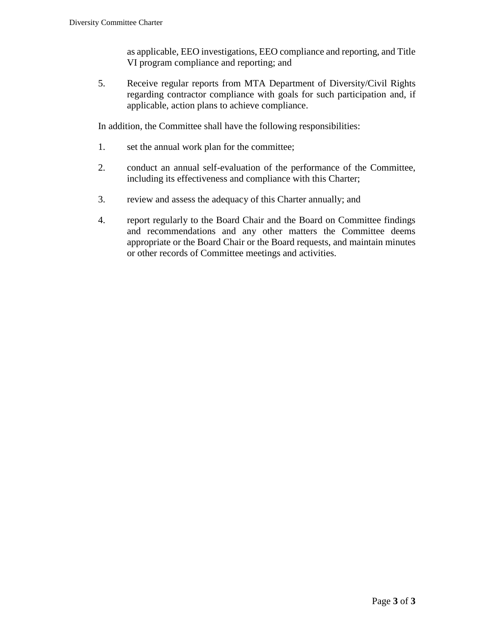as applicable, EEO investigations, EEO compliance and reporting, and Title VI program compliance and reporting; and

5. Receive regular reports from MTA Department of Diversity/Civil Rights regarding contractor compliance with goals for such participation and, if applicable, action plans to achieve compliance.

- 1. set the annual work plan for the committee;
- 2. conduct an annual self-evaluation of the performance of the Committee, including its effectiveness and compliance with this Charter;
- 3. review and assess the adequacy of this Charter annually; and
- 4. report regularly to the Board Chair and the Board on Committee findings and recommendations and any other matters the Committee deems appropriate or the Board Chair or the Board requests, and maintain minutes or other records of Committee meetings and activities.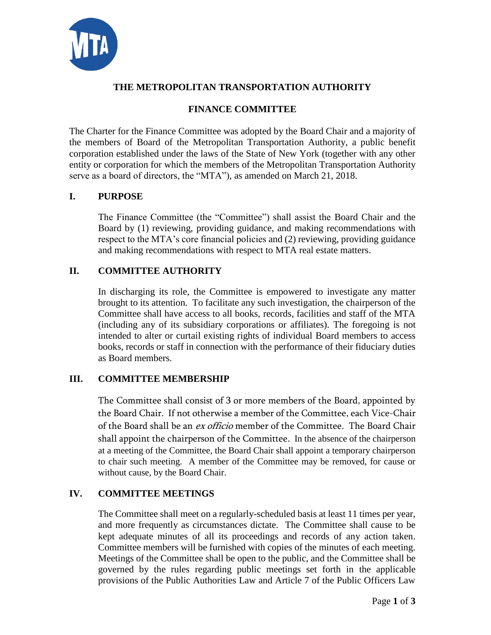

# **FINANCE COMMITTEE**

The Charter for the Finance Committee was adopted by the Board Chair and a majority of the members of Board of the Metropolitan Transportation Authority, a public benefit corporation established under the laws of the State of New York (together with any other entity or corporation for which the members of the Metropolitan Transportation Authority serve as a board of directors, the "MTA"), as amended on March 21, 2018.

# **I. PURPOSE**

The Finance Committee (the "Committee") shall assist the Board Chair and the Board by (1) reviewing, providing guidance, and making recommendations with respect to the MTA's core financial policies and (2) reviewing, providing guidance and making recommendations with respect to MTA real estate matters.

# **II. COMMITTEE AUTHORITY**

In discharging its role, the Committee is empowered to investigate any matter brought to its attention. To facilitate any such investigation, the chairperson of the Committee shall have access to all books, records, facilities and staff of the MTA (including any of its subsidiary corporations or affiliates). The foregoing is not intended to alter or curtail existing rights of individual Board members to access books, records or staff in connection with the performance of their fiduciary duties as Board members.

## **III. COMMITTEE MEMBERSHIP**

The Committee shall consist of 3 or more members of the Board, appointed by the Board Chair. If not otherwise a member of the Committee, each Vice-Chair of the Board shall be an *ex officio* member of the Committee. The Board Chair shall appoint the chairperson of the Committee. In the absence of the chairperson at a meeting of the Committee, the Board Chair shall appoint a temporary chairperson to chair such meeting. A member of the Committee may be removed, for cause or without cause, by the Board Chair.

# **IV. COMMITTEE MEETINGS**

The Committee shall meet on a regularly-scheduled basis at least 11 times per year, and more frequently as circumstances dictate. The Committee shall cause to be kept adequate minutes of all its proceedings and records of any action taken. Committee members will be furnished with copies of the minutes of each meeting. Meetings of the Committee shall be open to the public, and the Committee shall be governed by the rules regarding public meetings set forth in the applicable provisions of the Public Authorities Law and Article 7 of the Public Officers Law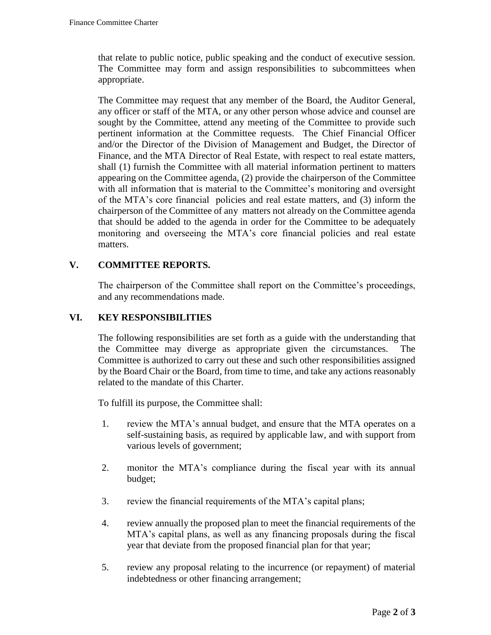that relate to public notice, public speaking and the conduct of executive session. The Committee may form and assign responsibilities to subcommittees when appropriate.

The Committee may request that any member of the Board, the Auditor General, any officer or staff of the MTA, or any other person whose advice and counsel are sought by the Committee, attend any meeting of the Committee to provide such pertinent information at the Committee requests. The Chief Financial Officer and/or the Director of the Division of Management and Budget, the Director of Finance, and the MTA Director of Real Estate, with respect to real estate matters, shall (1) furnish the Committee with all material information pertinent to matters appearing on the Committee agenda, (2) provide the chairperson of the Committee with all information that is material to the Committee's monitoring and oversight of the MTA's core financial policies and real estate matters, and (3) inform the chairperson of the Committee of any matters not already on the Committee agenda that should be added to the agenda in order for the Committee to be adequately monitoring and overseeing the MTA's core financial policies and real estate matters.

# **V. COMMITTEE REPORTS.**

The chairperson of the Committee shall report on the Committee's proceedings, and any recommendations made.

# **VI. KEY RESPONSIBILITIES**

The following responsibilities are set forth as a guide with the understanding that the Committee may diverge as appropriate given the circumstances. The Committee is authorized to carry out these and such other responsibilities assigned by the Board Chair or the Board, from time to time, and take any actions reasonably related to the mandate of this Charter.

To fulfill its purpose, the Committee shall:

- 1. review the MTA's annual budget, and ensure that the MTA operates on a self-sustaining basis, as required by applicable law, and with support from various levels of government;
- 2. monitor the MTA's compliance during the fiscal year with its annual budget;
- 3. review the financial requirements of the MTA's capital plans;
- 4. review annually the proposed plan to meet the financial requirements of the MTA's capital plans, as well as any financing proposals during the fiscal year that deviate from the proposed financial plan for that year;
- 5. review any proposal relating to the incurrence (or repayment) of material indebtedness or other financing arrangement;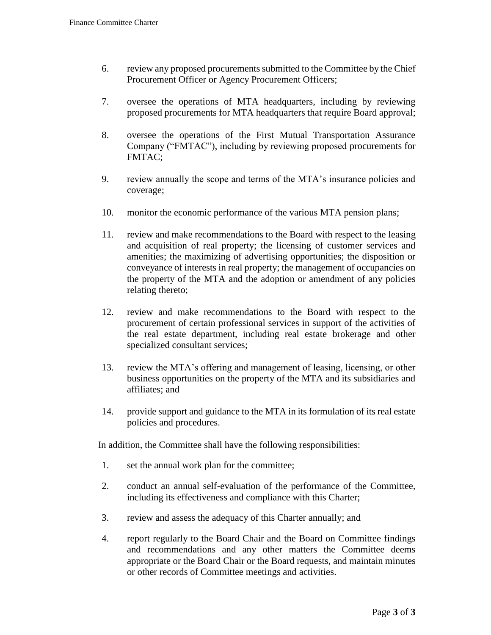- 6. review any proposed procurements submitted to the Committee by the Chief Procurement Officer or Agency Procurement Officers;
- 7. oversee the operations of MTA headquarters, including by reviewing proposed procurements for MTA headquarters that require Board approval;
- 8. oversee the operations of the First Mutual Transportation Assurance Company ("FMTAC"), including by reviewing proposed procurements for FMTAC;
- 9. review annually the scope and terms of the MTA's insurance policies and coverage;
- 10. monitor the economic performance of the various MTA pension plans;
- 11. review and make recommendations to the Board with respect to the leasing and acquisition of real property; the licensing of customer services and amenities; the maximizing of advertising opportunities; the disposition or conveyance of interests in real property; the management of occupancies on the property of the MTA and the adoption or amendment of any policies relating thereto;
- 12. review and make recommendations to the Board with respect to the procurement of certain professional services in support of the activities of the real estate department, including real estate brokerage and other specialized consultant services;
- 13. review the MTA's offering and management of leasing, licensing, or other business opportunities on the property of the MTA and its subsidiaries and affiliates; and
- 14. provide support and guidance to the MTA in its formulation of its real estate policies and procedures.

- 1. set the annual work plan for the committee;
- 2. conduct an annual self-evaluation of the performance of the Committee, including its effectiveness and compliance with this Charter;
- 3. review and assess the adequacy of this Charter annually; and
- 4. report regularly to the Board Chair and the Board on Committee findings and recommendations and any other matters the Committee deems appropriate or the Board Chair or the Board requests, and maintain minutes or other records of Committee meetings and activities.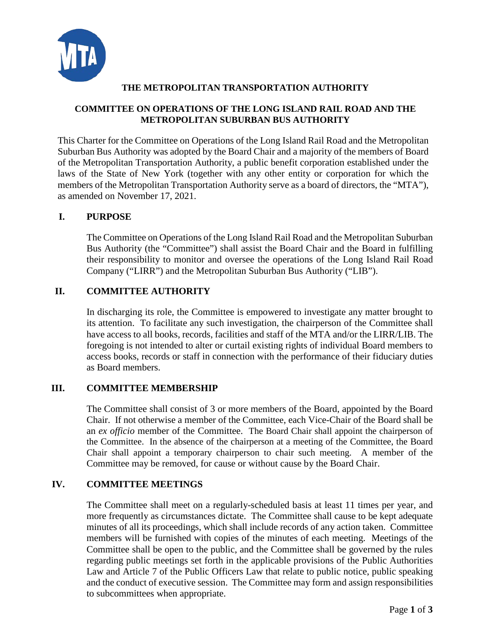

## **COMMITTEE ON OPERATIONS OF THE LONG ISLAND RAIL ROAD AND THE METROPOLITAN SUBURBAN BUS AUTHORITY**

This Charter for the Committee on Operations of the Long Island Rail Road and the Metropolitan Suburban Bus Authority was adopted by the Board Chair and a majority of the members of Board of the Metropolitan Transportation Authority, a public benefit corporation established under the laws of the State of New York (together with any other entity or corporation for which the members of the Metropolitan Transportation Authority serve as a board of directors, the "MTA"), as amended on November 17, 2021.

# **I. PURPOSE**

The Committee on Operations of the Long Island Rail Road and the Metropolitan Suburban Bus Authority (the "Committee") shall assist the Board Chair and the Board in fulfilling their responsibility to monitor and oversee the operations of the Long Island Rail Road Company ("LIRR") and the Metropolitan Suburban Bus Authority ("LIB").

# **II. COMMITTEE AUTHORITY**

In discharging its role, the Committee is empowered to investigate any matter brought to its attention. To facilitate any such investigation, the chairperson of the Committee shall have access to all books, records, facilities and staff of the MTA and/or the LIRR/LIB. The foregoing is not intended to alter or curtail existing rights of individual Board members to access books, records or staff in connection with the performance of their fiduciary duties as Board members.

## **III. COMMITTEE MEMBERSHIP**

The Committee shall consist of 3 or more members of the Board, appointed by the Board Chair. If not otherwise a member of the Committee, each Vice-Chair of the Board shall be an *ex officio* member of the Committee. The Board Chair shall appoint the chairperson of the Committee. In the absence of the chairperson at a meeting of the Committee, the Board Chair shall appoint a temporary chairperson to chair such meeting. A member of the Committee may be removed, for cause or without cause by the Board Chair.

## **IV. COMMITTEE MEETINGS**

The Committee shall meet on a regularly-scheduled basis at least 11 times per year, and more frequently as circumstances dictate. The Committee shall cause to be kept adequate minutes of all its proceedings, which shall include records of any action taken. Committee members will be furnished with copies of the minutes of each meeting. Meetings of the Committee shall be open to the public, and the Committee shall be governed by the rules regarding public meetings set forth in the applicable provisions of the Public Authorities Law and Article 7 of the Public Officers Law that relate to public notice, public speaking and the conduct of executive session. The Committee may form and assign responsibilities to subcommittees when appropriate.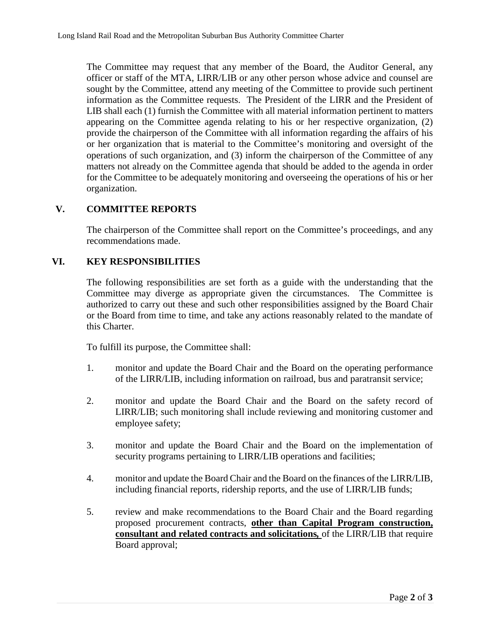The Committee may request that any member of the Board, the Auditor General, any officer or staff of the MTA, LIRR/LIB or any other person whose advice and counsel are sought by the Committee, attend any meeting of the Committee to provide such pertinent information as the Committee requests. The President of the LIRR and the President of LIB shall each (1) furnish the Committee with all material information pertinent to matters appearing on the Committee agenda relating to his or her respective organization, (2) provide the chairperson of the Committee with all information regarding the affairs of his or her organization that is material to the Committee's monitoring and oversight of the operations of such organization, and (3) inform the chairperson of the Committee of any matters not already on the Committee agenda that should be added to the agenda in order for the Committee to be adequately monitoring and overseeing the operations of his or her organization.

#### **V. COMMITTEE REPORTS**

The chairperson of the Committee shall report on the Committee's proceedings, and any recommendations made.

#### **VI. KEY RESPONSIBILITIES**

The following responsibilities are set forth as a guide with the understanding that the Committee may diverge as appropriate given the circumstances. The Committee is authorized to carry out these and such other responsibilities assigned by the Board Chair or the Board from time to time, and take any actions reasonably related to the mandate of this Charter.

To fulfill its purpose, the Committee shall:

- 1. monitor and update the Board Chair and the Board on the operating performance of the LIRR/LIB, including information on railroad, bus and paratransit service;
- 2. monitor and update the Board Chair and the Board on the safety record of LIRR/LIB; such monitoring shall include reviewing and monitoring customer and employee safety;
- 3. monitor and update the Board Chair and the Board on the implementation of security programs pertaining to LIRR/LIB operations and facilities;
- 4. monitor and update the Board Chair and the Board on the finances of the LIRR/LIB, including financial reports, ridership reports, and the use of LIRR/LIB funds;
- 5. review and make recommendations to the Board Chair and the Board regarding proposed procurement contracts, **other than Capital Program construction, consultant and related contracts and solicitations***,* of the LIRR/LIB that require Board approval;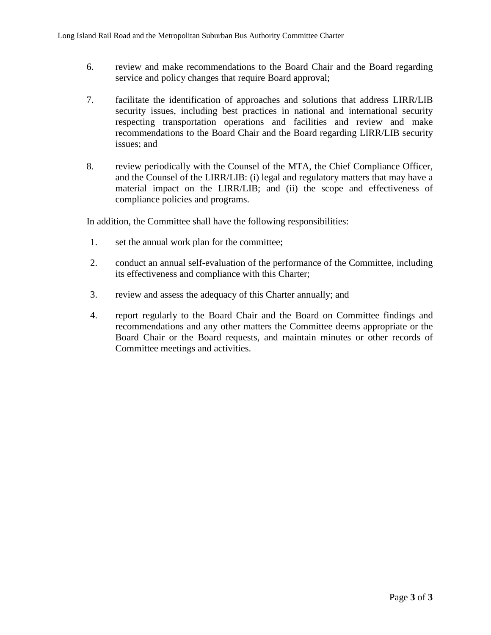- 6. review and make recommendations to the Board Chair and the Board regarding service and policy changes that require Board approval;
- 7. facilitate the identification of approaches and solutions that address LIRR/LIB security issues, including best practices in national and international security respecting transportation operations and facilities and review and make recommendations to the Board Chair and the Board regarding LIRR/LIB security issues; and
- 8. review periodically with the Counsel of the MTA, the Chief Compliance Officer, and the Counsel of the LIRR/LIB: (i) legal and regulatory matters that may have a material impact on the LIRR/LIB; and (ii) the scope and effectiveness of compliance policies and programs.

- 1. set the annual work plan for the committee;
- 2. conduct an annual self-evaluation of the performance of the Committee, including its effectiveness and compliance with this Charter;
- 3. review and assess the adequacy of this Charter annually; and
- 4. report regularly to the Board Chair and the Board on Committee findings and recommendations and any other matters the Committee deems appropriate or the Board Chair or the Board requests, and maintain minutes or other records of Committee meetings and activities.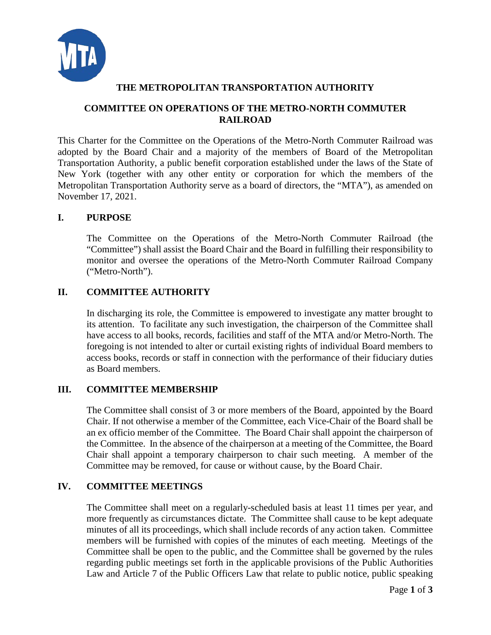

#### **COMMITTEE ON OPERATIONS OF THE METRO-NORTH COMMUTER RAILROAD**

This Charter for the Committee on the Operations of the Metro-North Commuter Railroad was adopted by the Board Chair and a majority of the members of Board of the Metropolitan Transportation Authority, a public benefit corporation established under the laws of the State of New York (together with any other entity or corporation for which the members of the Metropolitan Transportation Authority serve as a board of directors, the "MTA"), as amended on November 17, 2021.

#### **I. PURPOSE**

The Committee on the Operations of the Metro-North Commuter Railroad (the "Committee") shall assist the Board Chair and the Board in fulfilling their responsibility to monitor and oversee the operations of the Metro-North Commuter Railroad Company ("Metro-North").

## **II. COMMITTEE AUTHORITY**

In discharging its role, the Committee is empowered to investigate any matter brought to its attention. To facilitate any such investigation, the chairperson of the Committee shall have access to all books, records, facilities and staff of the MTA and/or Metro-North. The foregoing is not intended to alter or curtail existing rights of individual Board members to access books, records or staff in connection with the performance of their fiduciary duties as Board members.

## **III. COMMITTEE MEMBERSHIP**

The Committee shall consist of 3 or more members of the Board, appointed by the Board Chair. If not otherwise a member of the Committee, each Vice-Chair of the Board shall be an ex officio member of the Committee. The Board Chair shall appoint the chairperson of the Committee. In the absence of the chairperson at a meeting of the Committee, the Board Chair shall appoint a temporary chairperson to chair such meeting. A member of the Committee may be removed, for cause or without cause, by the Board Chair.

#### **IV. COMMITTEE MEETINGS**

The Committee shall meet on a regularly-scheduled basis at least 11 times per year, and more frequently as circumstances dictate. The Committee shall cause to be kept adequate minutes of all its proceedings, which shall include records of any action taken. Committee members will be furnished with copies of the minutes of each meeting. Meetings of the Committee shall be open to the public, and the Committee shall be governed by the rules regarding public meetings set forth in the applicable provisions of the Public Authorities Law and Article 7 of the Public Officers Law that relate to public notice, public speaking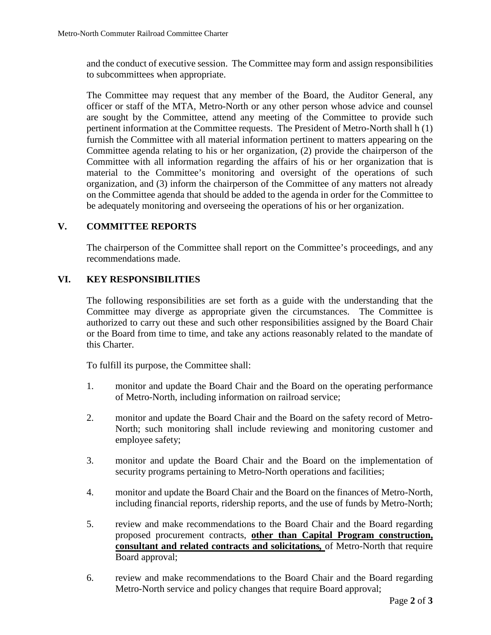and the conduct of executive session. The Committee may form and assign responsibilities to subcommittees when appropriate.

The Committee may request that any member of the Board, the Auditor General, any officer or staff of the MTA, Metro-North or any other person whose advice and counsel are sought by the Committee, attend any meeting of the Committee to provide such pertinent information at the Committee requests. The President of Metro-North shall h (1) furnish the Committee with all material information pertinent to matters appearing on the Committee agenda relating to his or her organization, (2) provide the chairperson of the Committee with all information regarding the affairs of his or her organization that is material to the Committee's monitoring and oversight of the operations of such organization, and (3) inform the chairperson of the Committee of any matters not already on the Committee agenda that should be added to the agenda in order for the Committee to be adequately monitoring and overseeing the operations of his or her organization.

#### **V. COMMITTEE REPORTS**

The chairperson of the Committee shall report on the Committee's proceedings, and any recommendations made.

#### **VI. KEY RESPONSIBILITIES**

The following responsibilities are set forth as a guide with the understanding that the Committee may diverge as appropriate given the circumstances. The Committee is authorized to carry out these and such other responsibilities assigned by the Board Chair or the Board from time to time, and take any actions reasonably related to the mandate of this Charter.

To fulfill its purpose, the Committee shall:

- 1. monitor and update the Board Chair and the Board on the operating performance of Metro-North, including information on railroad service;
- 2. monitor and update the Board Chair and the Board on the safety record of Metro-North; such monitoring shall include reviewing and monitoring customer and employee safety;
- 3. monitor and update the Board Chair and the Board on the implementation of security programs pertaining to Metro-North operations and facilities;
- 4. monitor and update the Board Chair and the Board on the finances of Metro-North, including financial reports, ridership reports, and the use of funds by Metro-North;
- 5. review and make recommendations to the Board Chair and the Board regarding proposed procurement contracts, **other than Capital Program construction, consultant and related contracts and solicitations***,* of Metro-North that require Board approval;
- 6. review and make recommendations to the Board Chair and the Board regarding Metro-North service and policy changes that require Board approval;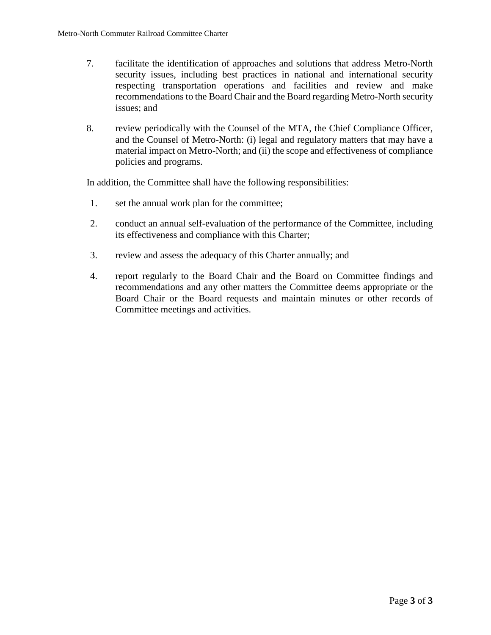- 7. facilitate the identification of approaches and solutions that address Metro-North security issues, including best practices in national and international security respecting transportation operations and facilities and review and make recommendations to the Board Chair and the Board regarding Metro-North security issues; and
- 8. review periodically with the Counsel of the MTA, the Chief Compliance Officer, and the Counsel of Metro-North: (i) legal and regulatory matters that may have a material impact on Metro-North; and (ii) the scope and effectiveness of compliance policies and programs.

- 1. set the annual work plan for the committee;
- 2. conduct an annual self-evaluation of the performance of the Committee, including its effectiveness and compliance with this Charter;
- 3. review and assess the adequacy of this Charter annually; and
- 4. report regularly to the Board Chair and the Board on Committee findings and recommendations and any other matters the Committee deems appropriate or the Board Chair or the Board requests and maintain minutes or other records of Committee meetings and activities.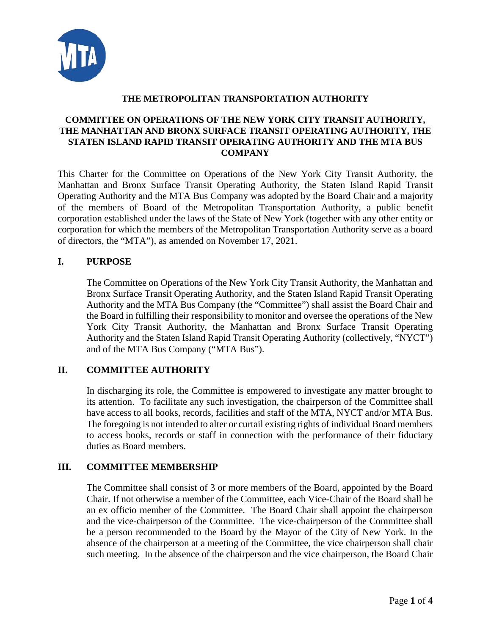

## **COMMITTEE ON OPERATIONS OF THE NEW YORK CITY TRANSIT AUTHORITY, THE MANHATTAN AND BRONX SURFACE TRANSIT OPERATING AUTHORITY, THE STATEN ISLAND RAPID TRANSIT OPERATING AUTHORITY AND THE MTA BUS COMPANY**

This Charter for the Committee on Operations of the New York City Transit Authority, the Manhattan and Bronx Surface Transit Operating Authority, the Staten Island Rapid Transit Operating Authority and the MTA Bus Company was adopted by the Board Chair and a majority of the members of Board of the Metropolitan Transportation Authority, a public benefit corporation established under the laws of the State of New York (together with any other entity or corporation for which the members of the Metropolitan Transportation Authority serve as a board of directors, the "MTA"), as amended on November 17, 2021.

#### **I. PURPOSE**

The Committee on Operations of the New York City Transit Authority, the Manhattan and Bronx Surface Transit Operating Authority, and the Staten Island Rapid Transit Operating Authority and the MTA Bus Company (the "Committee") shall assist the Board Chair and the Board in fulfilling their responsibility to monitor and oversee the operations of the New York City Transit Authority, the Manhattan and Bronx Surface Transit Operating Authority and the Staten Island Rapid Transit Operating Authority (collectively, "NYCT") and of the MTA Bus Company ("MTA Bus").

## **II. COMMITTEE AUTHORITY**

In discharging its role, the Committee is empowered to investigate any matter brought to its attention. To facilitate any such investigation, the chairperson of the Committee shall have access to all books, records, facilities and staff of the MTA, NYCT and/or MTA Bus. The foregoing is not intended to alter or curtail existing rights of individual Board members to access books, records or staff in connection with the performance of their fiduciary duties as Board members.

## **III. COMMITTEE MEMBERSHIP**

The Committee shall consist of 3 or more members of the Board, appointed by the Board Chair. If not otherwise a member of the Committee, each Vice-Chair of the Board shall be an ex officio member of the Committee. The Board Chair shall appoint the chairperson and the vice-chairperson of the Committee. The vice-chairperson of the Committee shall be a person recommended to the Board by the Mayor of the City of New York. In the absence of the chairperson at a meeting of the Committee, the vice chairperson shall chair such meeting. In the absence of the chairperson and the vice chairperson, the Board Chair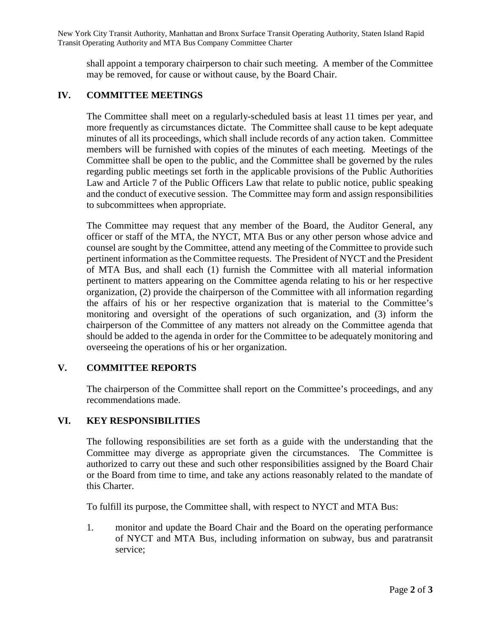New York City Transit Authority, Manhattan and Bronx Surface Transit Operating Authority, Staten Island Rapid Transit Operating Authority and MTA Bus Company Committee Charter

shall appoint a temporary chairperson to chair such meeting. A member of the Committee may be removed, for cause or without cause, by the Board Chair.

#### **IV. COMMITTEE MEETINGS**

The Committee shall meet on a regularly-scheduled basis at least 11 times per year, and more frequently as circumstances dictate. The Committee shall cause to be kept adequate minutes of all its proceedings, which shall include records of any action taken. Committee members will be furnished with copies of the minutes of each meeting. Meetings of the Committee shall be open to the public, and the Committee shall be governed by the rules regarding public meetings set forth in the applicable provisions of the Public Authorities Law and Article 7 of the Public Officers Law that relate to public notice, public speaking and the conduct of executive session. The Committee may form and assign responsibilities to subcommittees when appropriate.

The Committee may request that any member of the Board, the Auditor General, any officer or staff of the MTA, the NYCT, MTA Bus or any other person whose advice and counsel are sought by the Committee, attend any meeting of the Committee to provide such pertinent information as the Committee requests. The President of NYCT and the President of MTA Bus, and shall each (1) furnish the Committee with all material information pertinent to matters appearing on the Committee agenda relating to his or her respective organization, (2) provide the chairperson of the Committee with all information regarding the affairs of his or her respective organization that is material to the Committee's monitoring and oversight of the operations of such organization, and (3) inform the chairperson of the Committee of any matters not already on the Committee agenda that should be added to the agenda in order for the Committee to be adequately monitoring and overseeing the operations of his or her organization.

#### **V. COMMITTEE REPORTS**

The chairperson of the Committee shall report on the Committee's proceedings, and any recommendations made.

#### **VI. KEY RESPONSIBILITIES**

The following responsibilities are set forth as a guide with the understanding that the Committee may diverge as appropriate given the circumstances. The Committee is authorized to carry out these and such other responsibilities assigned by the Board Chair or the Board from time to time, and take any actions reasonably related to the mandate of this Charter.

To fulfill its purpose, the Committee shall, with respect to NYCT and MTA Bus:

1. monitor and update the Board Chair and the Board on the operating performance of NYCT and MTA Bus, including information on subway, bus and paratransit service;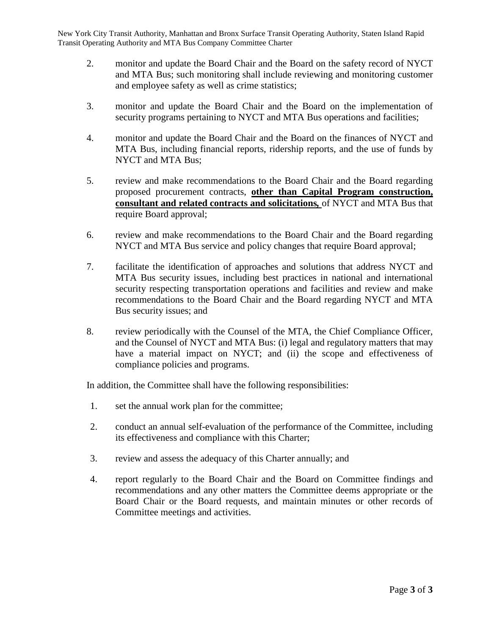New York City Transit Authority, Manhattan and Bronx Surface Transit Operating Authority, Staten Island Rapid Transit Operating Authority and MTA Bus Company Committee Charter

- 2. monitor and update the Board Chair and the Board on the safety record of NYCT and MTA Bus; such monitoring shall include reviewing and monitoring customer and employee safety as well as crime statistics;
- 3. monitor and update the Board Chair and the Board on the implementation of security programs pertaining to NYCT and MTA Bus operations and facilities;
- 4. monitor and update the Board Chair and the Board on the finances of NYCT and MTA Bus, including financial reports, ridership reports, and the use of funds by NYCT and MTA Bus;
- 5. review and make recommendations to the Board Chair and the Board regarding proposed procurement contracts, **other than Capital Program construction, consultant and related contracts and solicitations***,* of NYCT and MTA Bus that require Board approval;
- 6. review and make recommendations to the Board Chair and the Board regarding NYCT and MTA Bus service and policy changes that require Board approval;
- 7. facilitate the identification of approaches and solutions that address NYCT and MTA Bus security issues, including best practices in national and international security respecting transportation operations and facilities and review and make recommendations to the Board Chair and the Board regarding NYCT and MTA Bus security issues; and
- 8. review periodically with the Counsel of the MTA, the Chief Compliance Officer, and the Counsel of NYCT and MTA Bus: (i) legal and regulatory matters that may have a material impact on NYCT; and (ii) the scope and effectiveness of compliance policies and programs.

- 1. set the annual work plan for the committee;
- 2. conduct an annual self-evaluation of the performance of the Committee, including its effectiveness and compliance with this Charter;
- 3. review and assess the adequacy of this Charter annually; and
- 4. report regularly to the Board Chair and the Board on Committee findings and recommendations and any other matters the Committee deems appropriate or the Board Chair or the Board requests, and maintain minutes or other records of Committee meetings and activities.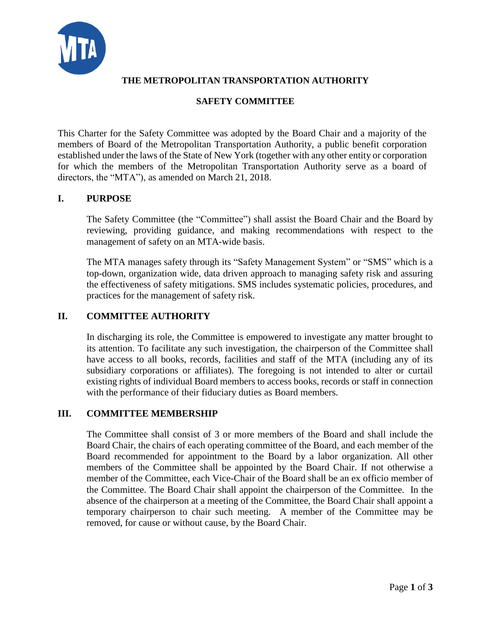

# **SAFETY COMMITTEE**

This Charter for the Safety Committee was adopted by the Board Chair and a majority of the members of Board of the Metropolitan Transportation Authority, a public benefit corporation established under the laws of the State of New York (together with any other entity or corporation for which the members of the Metropolitan Transportation Authority serve as a board of directors, the "MTA"), as amended on March 21, 2018.

#### **I. PURPOSE**

The Safety Committee (the "Committee") shall assist the Board Chair and the Board by reviewing, providing guidance, and making recommendations with respect to the management of safety on an MTA-wide basis.

The MTA manages safety through its "Safety Management System" or "SMS" which is a top-down, organization wide, data driven approach to managing safety risk and assuring the effectiveness of safety mitigations. SMS includes systematic policies, procedures, and practices for the management of safety risk.

#### **II. COMMITTEE AUTHORITY**

In discharging its role, the Committee is empowered to investigate any matter brought to its attention. To facilitate any such investigation, the chairperson of the Committee shall have access to all books, records, facilities and staff of the MTA (including any of its subsidiary corporations or affiliates). The foregoing is not intended to alter or curtail existing rights of individual Board members to access books, records or staff in connection with the performance of their fiduciary duties as Board members.

#### **III. COMMITTEE MEMBERSHIP**

The Committee shall consist of 3 or more members of the Board and shall include the Board Chair, the chairs of each operating committee of the Board, and each member of the Board recommended for appointment to the Board by a labor organization. All other members of the Committee shall be appointed by the Board Chair. If not otherwise a member of the Committee, each Vice-Chair of the Board shall be an ex officio member of the Committee. The Board Chair shall appoint the chairperson of the Committee. In the absence of the chairperson at a meeting of the Committee, the Board Chair shall appoint a temporary chairperson to chair such meeting. A member of the Committee may be removed, for cause or without cause, by the Board Chair.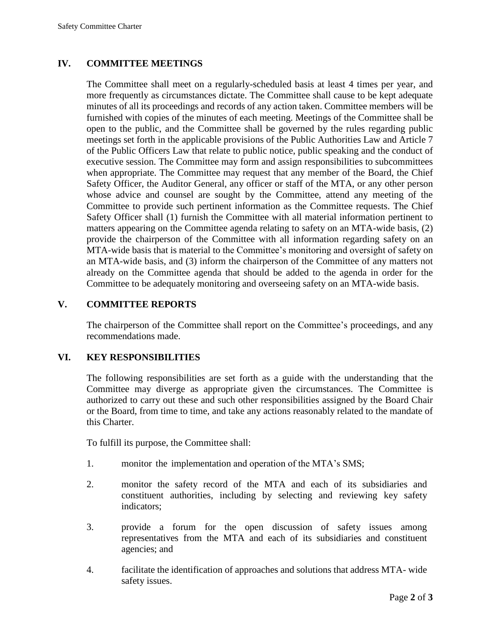#### **IV. COMMITTEE MEETINGS**

The Committee shall meet on a regularly-scheduled basis at least 4 times per year, and more frequently as circumstances dictate. The Committee shall cause to be kept adequate minutes of all its proceedings and records of any action taken. Committee members will be furnished with copies of the minutes of each meeting. Meetings of the Committee shall be open to the public, and the Committee shall be governed by the rules regarding public meetings set forth in the applicable provisions of the Public Authorities Law and Article 7 of the Public Officers Law that relate to public notice, public speaking and the conduct of executive session. The Committee may form and assign responsibilities to subcommittees when appropriate. The Committee may request that any member of the Board, the Chief Safety Officer, the Auditor General, any officer or staff of the MTA, or any other person whose advice and counsel are sought by the Committee, attend any meeting of the Committee to provide such pertinent information as the Committee requests. The Chief Safety Officer shall (1) furnish the Committee with all material information pertinent to matters appearing on the Committee agenda relating to safety on an MTA-wide basis, (2) provide the chairperson of the Committee with all information regarding safety on an MTA-wide basis that is material to the Committee's monitoring and oversight of safety on an MTA-wide basis, and (3) inform the chairperson of the Committee of any matters not already on the Committee agenda that should be added to the agenda in order for the Committee to be adequately monitoring and overseeing safety on an MTA-wide basis.

#### **V. COMMITTEE REPORTS**

The chairperson of the Committee shall report on the Committee's proceedings, and any recommendations made.

#### **VI. KEY RESPONSIBILITIES**

The following responsibilities are set forth as a guide with the understanding that the Committee may diverge as appropriate given the circumstances. The Committee is authorized to carry out these and such other responsibilities assigned by the Board Chair or the Board, from time to time, and take any actions reasonably related to the mandate of this Charter.

To fulfill its purpose, the Committee shall:

- 1. monitor the implementation and operation of the MTA's SMS;
- 2. monitor the safety record of the MTA and each of its subsidiaries and constituent authorities, including by selecting and reviewing key safety indicators;
- 3. provide a forum for the open discussion of safety issues among representatives from the MTA and each of its subsidiaries and constituent agencies; and
- 4. facilitate the identification of approaches and solutions that address MTA- wide safety issues.